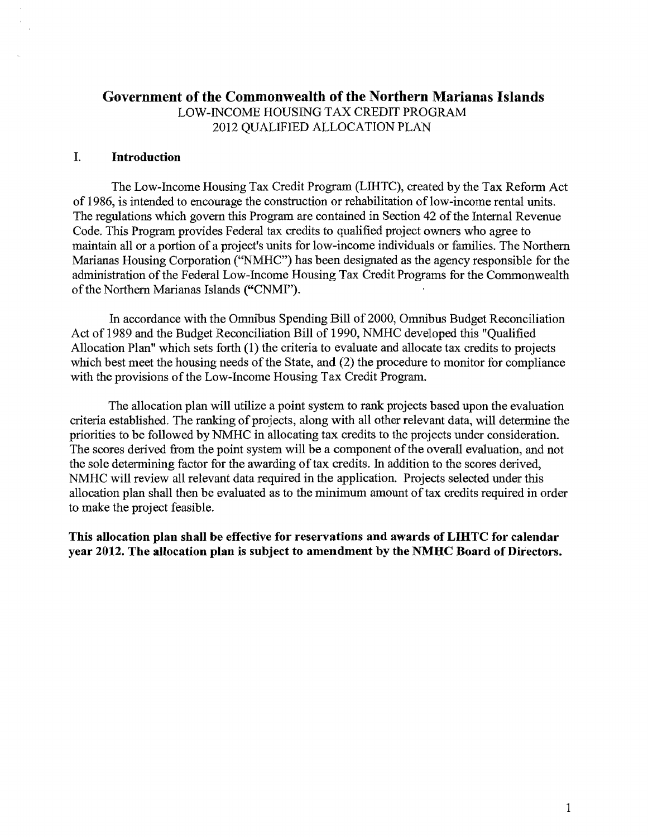## **Government of the Commonwealth of the Northern Marianas Islands**  LOW-INCOME HOUSING TAX CREDIT PROGRAM 2012 QUALIFIED ALLOCATION PLAN

### I. **Introduction**

The Low-Income Housing Tax Credit Program (LIHTC), created by the Tax Reform Act of 1986, is intended to encourage the construction or rehabilitation of low-income rental units. The regulations which govern this Program are contained in Section 42 of the Internal Revenue Code. This Program provides Federal tax credits to qualified project owners who agree to maintain all or a portion of a project's units for low-income individuals or families. The Northern Marianas Housing Corporation ("NMHC") has been designated as the agency responsible for the administration of the Federal Low-Income Housing Tax Credit Programs for the Commonwealth of the Northern Marianas Islands ("CNMI").

In accordance with the Omnibus Spending Bill of 2000, Omnibus Budget Reconciliation Act of 1989 and the Budget Reconciliation Bill of 1990, NMHC developed this "Qualified Allocation Plan" which sets forth **(1)** the criteria to evaluate and allocate tax credits to projects which best meet the housing needs of the State, and (2) the procedure to monitor for compliance with the provisions of the Low-Income Housing Tax Credit Program.

The allocation plan will utilize a point system to rank projects based upon the evaluation criteria established. The ranking of projects, along with all other relevant data, will determine the priorities to be followed by NMHC in allocating tax credits to the projects under consideration. The scores derived from the point system will be a component of the overall evaluation, and not the sole determining factor for the awarding of tax credits. In addition to the scores derived, NMHC will review all relevant data required in the application. Projects selected under this allocation plan shall then be evaluated as to the minimum amount of tax credits required in order to make the project feasible.

**This allocation plan shall be effective for reservations and awards of LIHTC for calendar year 2012. The allocation plan is subject to amendment by the NMHC Board of Directors.**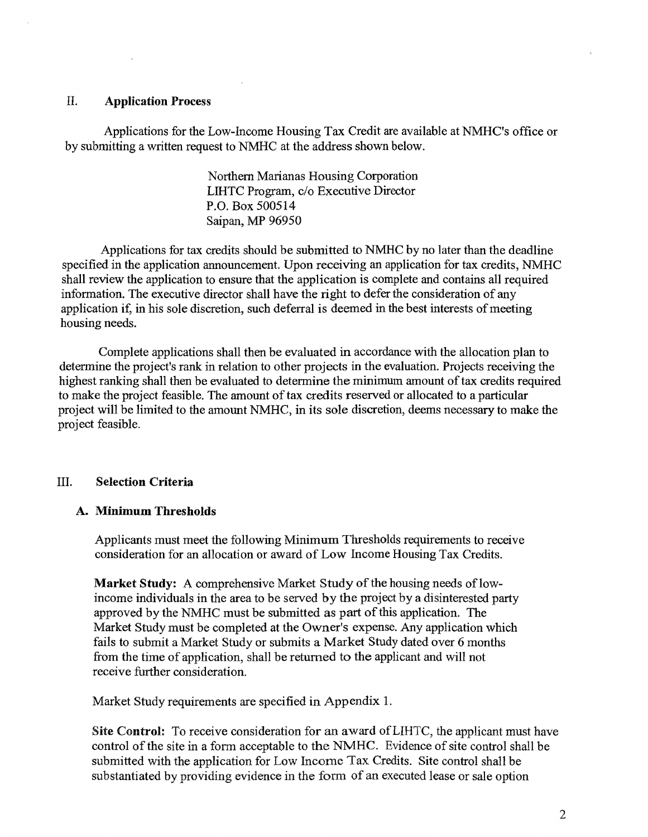#### II. Application Process

Applications for the Low-Income Housing Tax Credit are available at NMHC's office or by submitting a written request to NMHC at the address shown below.

> Northern Marianas Housing Corporation LIHTC Program, c/o Executive Director P.O. Box 500514 Saipan, MP 96950

Applications for tax credits should be submitted to NMHC by no later than the deadline specified in the application announcement. Upon receiving an application for tax credits, NMHC shall review the application to ensure that the application is complete and contains all required information. The executive director shall have the right to defer the consideration of any application if, in his sole discretion, such deferral is deemed in the best interests of meeting housing needs.

Complete applications shall then be evaluated in accordance with the allocation plan to determine the project's rank in relation to other projects in the evaluation. Projects receiving the highest ranking shall then be evaluated to determine the minimum amount of tax credits required to make the project feasible. The amount of tax credits reserved or allocated to a particular project will be limited to the amount NMHC, in its sole discretion, deems necessary to make the project feasible.

#### III. Selection Criteria

#### A. Minimum Thresholds

Applicants must meet the following Minimum Thresholds requirements to receive consideration for an allocation or award of Low Income Housing Tax Credits.

Market Study: A comprehensive Market Study of the housing needs of lowincome individuals in the area to be served by the project by a disinterested party approved by the NMHC must be submitted as part ofthis application. The Market Study must be completed at the Owner's expense. Any application which fails to submit a Market Study or submits a Market Study dated over 6 months from the time of application, shall be returned to the applicant and will not receive further consideration.

Market Study requirements are specified in Appendix 1.

Site Control: To receive consideration for an award ofLIHTC, the applicant must have control of the site in a form acceptable to the NMHC. Evidence of site control shall be submitted with the application for Low Income Tax Credits. Site control shall be substantiated by providing evidence in the form of an executed lease or sale option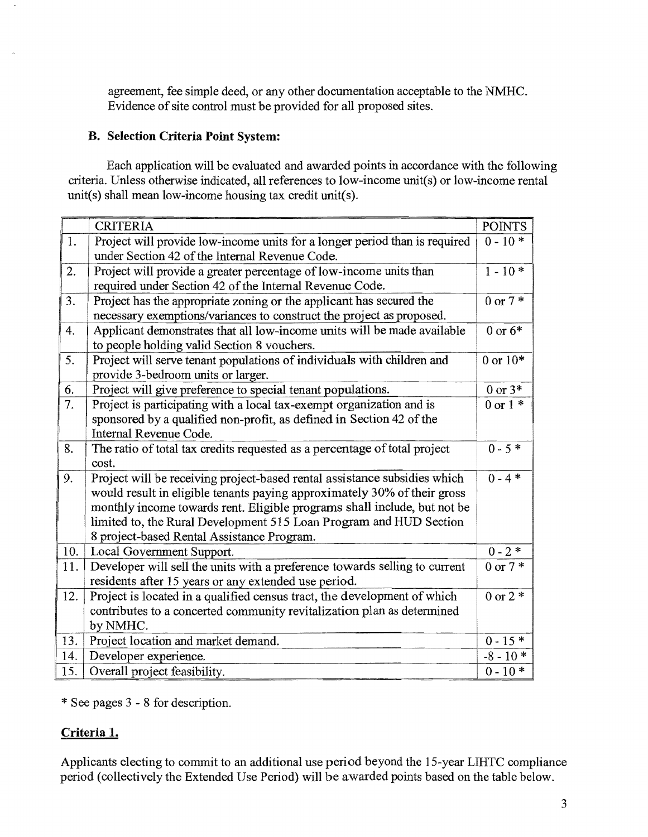agreement, fee simple deed, or any other documentation acceptable to the NMHC. Evidence of site control must be provided for all proposed sites.

#### **B.** Selection Criteria **Point** System:

Each application will be evaluated and awarded points in accordance with the following criteria. Unless otherwise indicated, all references to low-income unit(s) or low-income rental unit(s) shall mean low-income housing tax credit unit(s).

|     | <b>CRITERIA</b>                                                                                                                                                                                                                                                                                                                                       | <b>POINTS</b>       |
|-----|-------------------------------------------------------------------------------------------------------------------------------------------------------------------------------------------------------------------------------------------------------------------------------------------------------------------------------------------------------|---------------------|
| 1.  | Project will provide low-income units for a longer period than is required<br>under Section 42 of the Internal Revenue Code.                                                                                                                                                                                                                          | $0 - 10*$           |
| 2.  | Project will provide a greater percentage of low-income units than<br>required under Section 42 of the Internal Revenue Code.                                                                                                                                                                                                                         | $1 - 10*$           |
| 3.  | Project has the appropriate zoning or the applicant has secured the<br>necessary exemptions/variances to construct the project as proposed.                                                                                                                                                                                                           | 0 or $7 *$          |
| 4.  | Applicant demonstrates that all low-income units will be made available<br>to people holding valid Section 8 vouchers.                                                                                                                                                                                                                                | 0 or $6*$           |
| 5.  | Project will serve tenant populations of individuals with children and<br>provide 3-bedroom units or larger.                                                                                                                                                                                                                                          | 0 or $10*$          |
| 6.  | Project will give preference to special tenant populations.                                                                                                                                                                                                                                                                                           | $0$ or $3\,^*$      |
| 7.  | Project is participating with a local tax-exempt organization and is                                                                                                                                                                                                                                                                                  | $0 \text{ or } 1$ * |
|     | sponsored by a qualified non-profit, as defined in Section 42 of the<br>Internal Revenue Code.                                                                                                                                                                                                                                                        |                     |
| 8.  | The ratio of total tax credits requested as a percentage of total project<br>cost.                                                                                                                                                                                                                                                                    | $0 - 5*$            |
| 9.  | Project will be receiving project-based rental assistance subsidies which<br>would result in eligible tenants paying approximately 30% of their gross<br>monthly income towards rent. Eligible programs shall include, but not be<br>limited to, the Rural Development 515 Loan Program and HUD Section<br>8 project-based Rental Assistance Program. | $0 - 4$ *           |
| 10. | Local Government Support.                                                                                                                                                                                                                                                                                                                             | $0 - 2 *$           |
| 11. | Developer will sell the units with a preference towards selling to current<br>residents after 15 years or any extended use period.                                                                                                                                                                                                                    | $0 \text{ or } 7$ * |
| 12. | Project is located in a qualified census tract, the development of which<br>contributes to a concerted community revitalization plan as determined<br>by NMHC.                                                                                                                                                                                        | $0 \text{ or } 2^*$ |
| 13. | Project location and market demand.                                                                                                                                                                                                                                                                                                                   | $0 - 15*$           |
| 14. | Developer experience.                                                                                                                                                                                                                                                                                                                                 | $-8 - 10*$          |
| 15. | Overall project feasibility.                                                                                                                                                                                                                                                                                                                          | $0 - 10*$           |

\* See pages 3 - 8 for description.

## Criteria 1.

Applicants electing to commit to an additional use period beyond the 15-year LIHTC compliance period (collectively the Extended Use Period) will be awarded points based on the table below.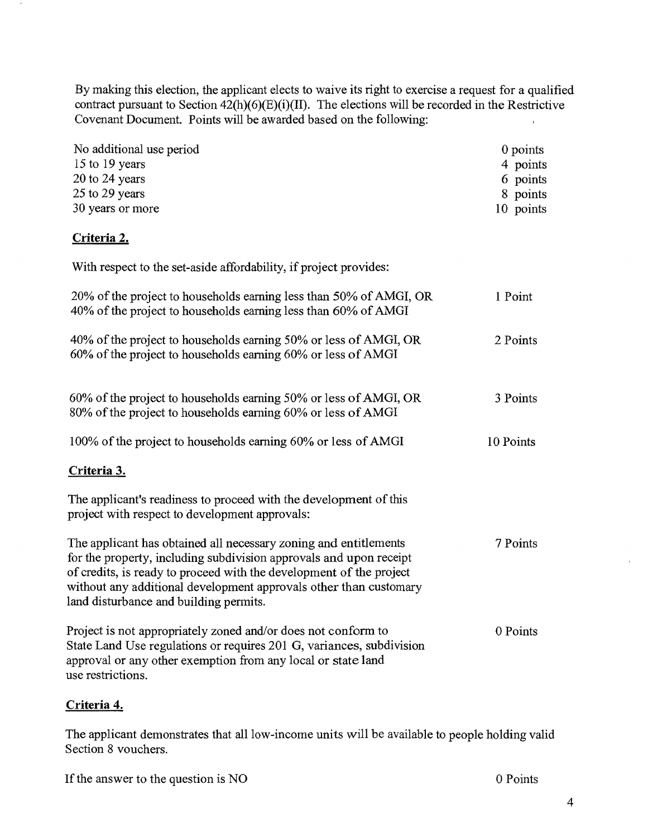By making this election, the applicant elects to waive its right to exercise a request for a qualified contract pursuant to Section  $42(h)(6)(E)(i)(II)$ . The elections will be recorded in the Restrictive Covenant Document. Points will be awarded based on the following:

| No additional use period<br>15 to 19 years<br>20 to 24 years<br>25 to 29 years<br>30 years or more                                                                                                                                                                                                                           | 0 points<br>4 points<br>6 points<br>8 points<br>10 points |
|------------------------------------------------------------------------------------------------------------------------------------------------------------------------------------------------------------------------------------------------------------------------------------------------------------------------------|-----------------------------------------------------------|
| Criteria 2.                                                                                                                                                                                                                                                                                                                  |                                                           |
| With respect to the set-aside affordability, if project provides:                                                                                                                                                                                                                                                            |                                                           |
| 20% of the project to households earning less than 50% of AMGI, OR<br>40% of the project to households earning less than 60% of AMGI                                                                                                                                                                                         | 1 Point                                                   |
| 40% of the project to households earning 50% or less of AMGI, OR<br>60% of the project to households earning 60% or less of AMGI                                                                                                                                                                                             | 2 Points                                                  |
| 60% of the project to households earning 50% or less of AMGI, OR<br>80% of the project to households earning 60% or less of AMGI                                                                                                                                                                                             | 3 Points                                                  |
| 100% of the project to households earning 60% or less of AMGI                                                                                                                                                                                                                                                                | 10 Points                                                 |
| Criteria 3.                                                                                                                                                                                                                                                                                                                  |                                                           |
| The applicant's readiness to proceed with the development of this<br>project with respect to development approvals:                                                                                                                                                                                                          |                                                           |
| The applicant has obtained all necessary zoning and entitlements<br>for the property, including subdivision approvals and upon receipt<br>of credits, is ready to proceed with the development of the project<br>without any additional development approvals other than customary<br>land disturbance and building permits. | 7 Points                                                  |
| Project is not appropriately zoned and/or does not conform to<br>State Land Use regulations or requires 201 G, variances, subdivision<br>approval or any other exemption from any local or state land<br>use restrictions.                                                                                                   | 0 Points                                                  |

## **Criteria 4.**

The applicant demonstrates that all low-income units will be available to people holding valid Section 8 vouchers.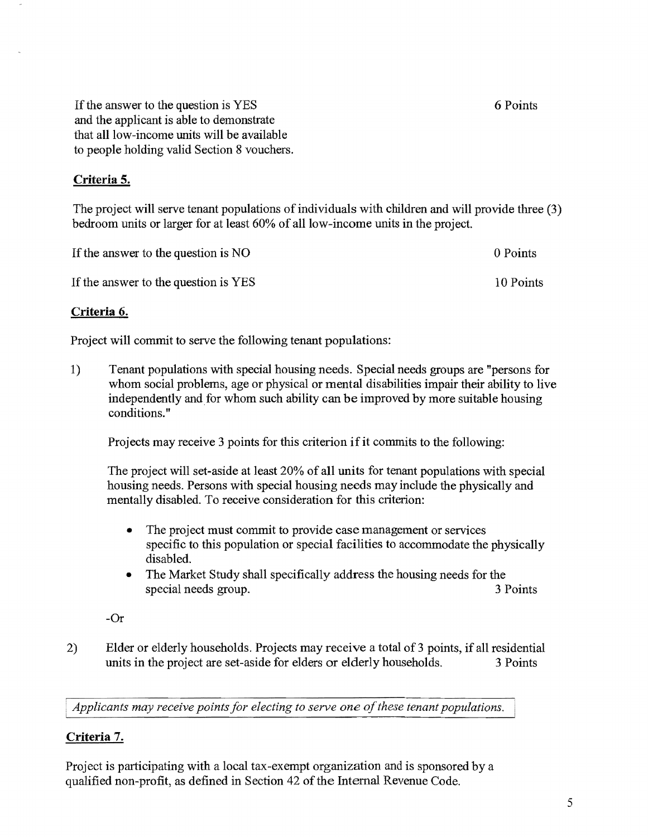If the answer to the question is YES and the applicant is able to demonstrate that all low-income units will be available to people holding valid Section 8 vouchers.

### **Criteria 5.**

The project will serve tenant populations of individuals with children and will provide three (3) bedroom units or larger for at least 60% of all low-income units in the project.

| If the answer to the question is NO  | 0 Points  |
|--------------------------------------|-----------|
| If the answer to the question is YES | 10 Points |

### **Criteria 6.**

Project will commit to serve the following tenant populations:

1) Tenant populations with special housing needs. Special needs groups are "persons for whom social problems, age or physical or mental disabilities impair their ability to live independently and for whom such ability can be improved by more suitable housing conditions."

Projects may receive 3 points for this criterion if it commits to the following:

The project will set-aside at least 20% of all units for tenant populations with special housing needs. Persons with special housing needs may include the physically and mentally disabled. To receive consideration for this criterion:

- The project must commit to provide case management or services specific to this population or special facilities to accommodate the physically disabled.
- The Market Study shall specifically address the housing needs for the special needs group. 3 Points

-Or

2) Elder or elderly households. Projects may receive a total of 3 points, if all residential units in the project are set-aside for elders or elderly households. 3 Points

*Applicants may receive points for electing to serve one of these tenant populations.* 

## **Criteria** 7.

Project is participating with a local tax-exempt organization and is sponsored by a qualified non-profit, as defined in Section 42 of the Internal Revenue Code.

5

6 Points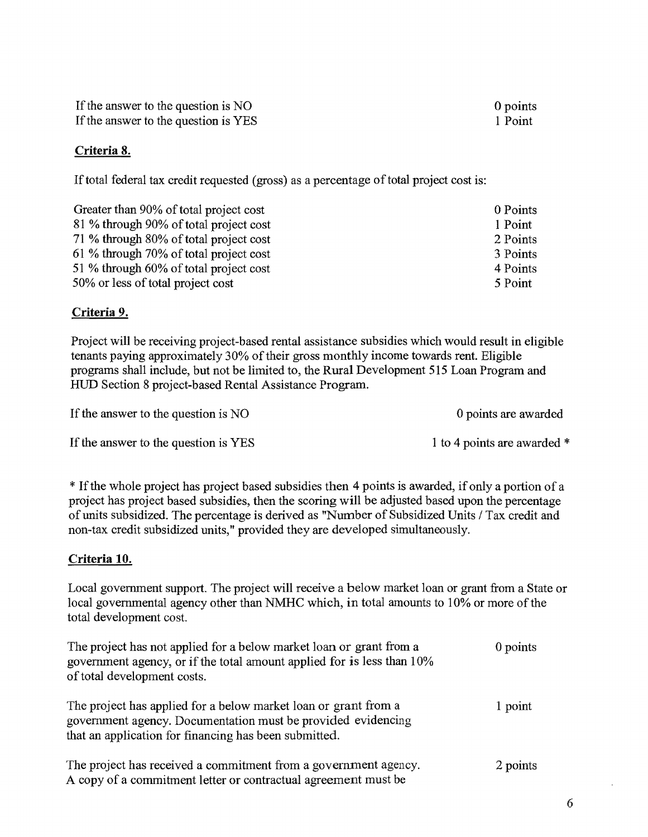If the answer to the question is NO If the answer to the question is YES

## **Criteria 8.**

If total federal tax credit requested (gross) as a percentage of total project cost is:

| Greater than 90% of total project cost | 0 Points |
|----------------------------------------|----------|
| 81 % through 90% of total project cost | 1 Point  |
| 71 % through 80% of total project cost | 2 Points |
| 61 % through 70% of total project cost | 3 Points |
| 51 % through 60% of total project cost | 4 Points |
| 50% or less of total project cost      | 5 Point  |

## **Criteria 9.**

Project will be receiving project-based rental assistance subsidies which would result in eligible tenants paying approximately 30% of their gross monthly income towards rent. Eligible programs shall include, but not be limited to, the Rural Development 515 Loan Program and HUD Section 8 project-based Rental Assistance Program.

If the answer to the question is NO 0 points are awarded

If the answer to the question is YES 1 to 4 points are awarded  $*$ 

\*If the whole project has project based subsidies then 4 points is awarded, if only a portion of a project has project based subsidies, then the scoring will be adjusted based upon the percentage of units subsidized. The percentage is derived as "Number of Subsidized Units I Tax credit and non-tax credit subsidized units," provided they are developed simultaneously.

# **Criteria 10.**

Local government support. The project will receive a below market loan or grant from a State or local governmental agency other than NMHC which, in total amounts to 10% or more of the total development cost.

| The project has not applied for a below market loan or grant from a<br>government agency, or if the total amount applied for is less than 10%<br>of total development costs.             | 0 points |
|------------------------------------------------------------------------------------------------------------------------------------------------------------------------------------------|----------|
| The project has applied for a below market loan or grant from a<br>government agency. Documentation must be provided evidencing<br>that an application for financing has been submitted. | 1 point  |
| The project has received a commitment from a government agency.<br>A copy of a commitment letter or contractual agreement must be                                                        | 2 points |

0 points 1 Point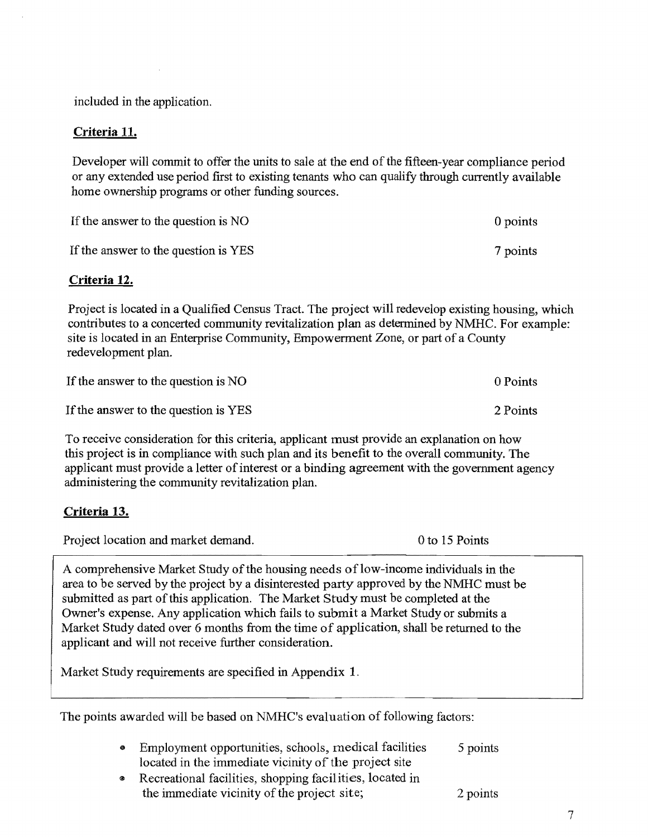included in the application.

### **Criteria 11.**

Developer will commit to offer the units to sale at the end of the fifteen-year compliance period or any extended use period first to existing tenants who can qualify through currently available home ownership programs or other funding sources.

| If the answer to the question is NO  | 0 points |
|--------------------------------------|----------|
| If the answer to the question is YES | 7 points |

### **Criteria 12.**

Project is located in a Qualified Census Tract. The project will redevelop existing housing, which contributes to a concerted community revitalization plan as determined by NMHC. For example: site is located in an Enterprise Community, Empowerment Zone, or part of a County redevelopment plan.

| If the answer to the question is NO  | 0 Points |
|--------------------------------------|----------|
| If the answer to the question is YES | 2 Points |

To receive consideration for this criteria, applicant must provide an explanation on how this project is in compliance with such plan and its benefit to the overall community. The applicant must provide a letter of interest or a binding agreement with the government agency administering the community revitalization plan.

## **Criteria** 13.

Project location and market demand. 0 to 15 Points

A comprehensive Market Study of the housing needs of low-income individuals in the area to be served by the project by a disinterested party approved by the NMHC must be submitted as part of this application. The Market Study must be completed at the Owner's expense. Any application which fails to submit a Market Study or submits a Market Study dated over 6 months from the time of application, shall be returned to the applicant and will not receive further consideration.

Market Study requirements are specified in Appendix 1.

The points awarded will be based on NMHC's evaluation of following factors:

| Employment opportunities, schools, medical facilities | 5 points |
|-------------------------------------------------------|----------|
| located in the immediate vicinity of the project site |          |

<sup>~</sup>Recreational facilities, shopping facilities, located in the immediate vicinity of the project site; 2 points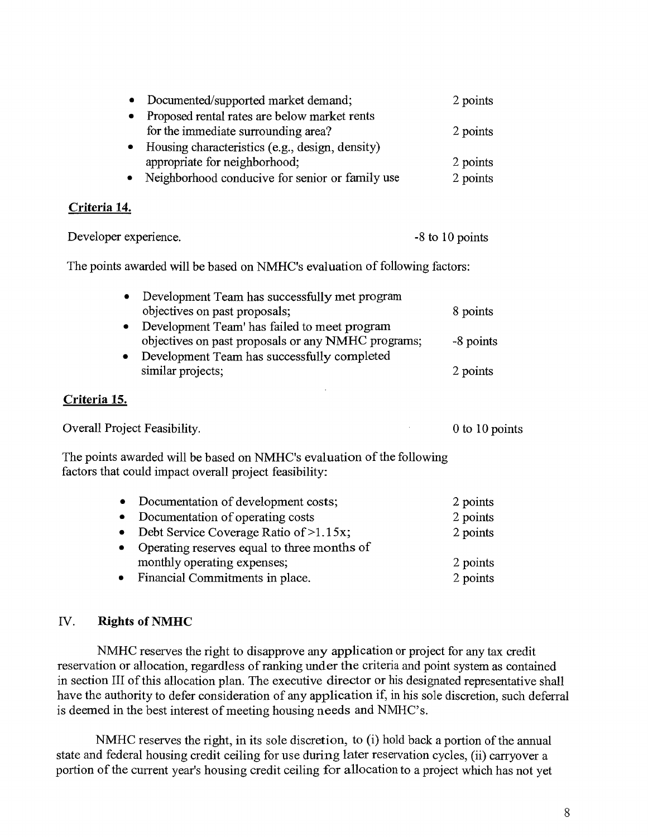| Documented/supported market demand;             | 2 points |
|-------------------------------------------------|----------|
| Proposed rental rates are below market rents    |          |
| for the immediate surrounding area?             | 2 points |
| Housing characteristics (e.g., design, density) |          |
| appropriate for neighborhood;                   | 2 points |
| Neighborhood conducive for senior or family use | 2 points |
|                                                 |          |

### **Criteria 14.**

Developer experience.  $\sim$  -8 to 10 points

The points awarded will be based on NMHC's evaluation of following factors:

| Development Team has successfully met program                                                      |           |
|----------------------------------------------------------------------------------------------------|-----------|
| objectives on past proposals;                                                                      | 8 points  |
| Development Team' has failed to meet program<br>objectives on past proposals or any NMHC programs; | -8 points |
| Development Team has successfully completed<br>similar projects;                                   | 2 points  |

## **Criteria 15.**

| Overall Project Feasibility.                                                                                                     | 0 to 10 points |
|----------------------------------------------------------------------------------------------------------------------------------|----------------|
| The points awarded will be based on NMHC's evaluation of the following<br>factors that could impact overall project feasibility: |                |

|           | • Documentation of development costs;       | 2 points |
|-----------|---------------------------------------------|----------|
| $\bullet$ | Documentation of operating costs            | 2 points |
|           | • Debt Service Coverage Ratio of $>1.15x$ ; | 2 points |
| $\bullet$ | Operating reserves equal to three months of |          |
|           | monthly operating expenses;                 | 2 points |
|           | • Financial Commitments in place.           | 2 points |

## IV. **Rights of NMHC**

NMHC reserves the right to disapprove any application or project for any tax credit reservation or allocation, regardless of ranking under the criteria and point system as contained in section III of this allocation plan. The executive director or his designated representative shall have the authority to defer consideration of any application if, in his sole discretion, such deferral is deemed in the best interest of meeting housing needs and NMHC's.

NMHC reserves the right, in its sole discretion, to  $(i)$  hold back a portion of the annual state and federal housing credit ceiling for use during later reservation cycles, (ii) carryover a portion of the current year's housing credit ceiling for allocation to a project which has not yet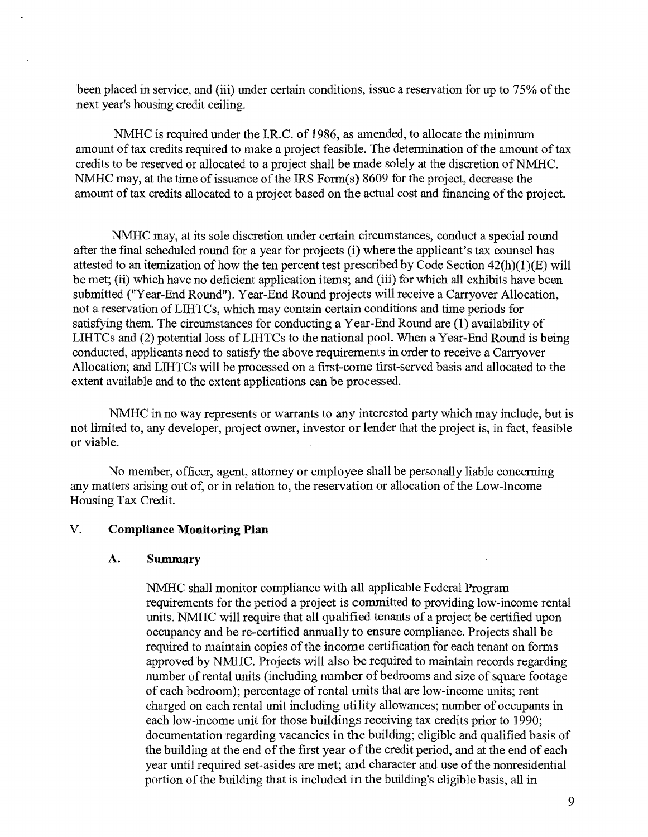been placed in service, and (iii) under certain conditions, issue a reservation for up to 75% of the next year's housing credit ceiling.

NMHC is required under the I.R.C. of 1986, as amended, to allocate the minimum amount of tax credits required to make a project feasible. The determination of the amount of tax credits to be reserved or allocated to a project shall be made solely at the discretion of NMHC. NMHC may, at the time of issuance of the IRS Form $(s)$  8609 for the project, decrease the amount of tax credits allocated to a project based on the actual cost and fmancing of the project.

NMHC may, at its sole discretion under certain circumstances, conduct a special round after the final scheduled round for a year for projects (i) where the applicant's tax counsel has attested to an itemization of how the ten percent test prescribed by Code Section  $42(h)(1)(E)$  will be met; (ii) which have no deficient application items; and (iii) for which all exhibits have been submitted ("Year-End Round"). Year-End Round projects will receive a Carryover Allocation, not a reservation of LIHTCs, which may contain certain conditions and time periods for satisfying them. The circumstances for conducting a Year-End Round are (1) availability of LIHTCs and (2) potential loss of LIHTCs to the national pool. When a Year-End Round is being conducted, applicants need to satisfy the above requirements in order to receive a Carryover Allocation; and LIHTCs will be processed on a first-come first-served basis and allocated to the extent available and to the extent applications can be processed.

NMHC in no way represents or warrants to any interested party which may include, but is not limited to, any developer, project owner, investor or lender that the project is, in fact, feasible or viable.

No member, officer, agent, attorney or employee shall be personally liable concerning any matters arising out of, or in relation to, the reservation or allocation of the Low-Income Housing Tax Credit.

#### V. **Compliance Monitoring Plan**

#### **A. Summary**

NMHC shall monitor compliance with all applicable Federal Program requirements for the period a project is committed to providing low-income rental units. NMHC will require that all qualified tenants of a project be certified upon occupancy and be re-certified annually to ensure compliance. Projects shall be required to maintain copies of the income certification for each tenant on forms approved by NMHC. Projects will also be required to maintain records regarding number of rental units (including number of bedrooms and size of square footage of each bedroom); percentage of rental units that are low-income units; rent charged on each rental unit including utility allowances; number of occupants in each low-income unit for those buildings receiving tax credits prior to 1990; documentation regarding vacancies in the building; eligible and qualified basis of the building at the end of the first year of the credit period, and at the end of each year until required set-asides are met; and character and use of the nonresidential portion of the building that is included in the building's eligible basis, all in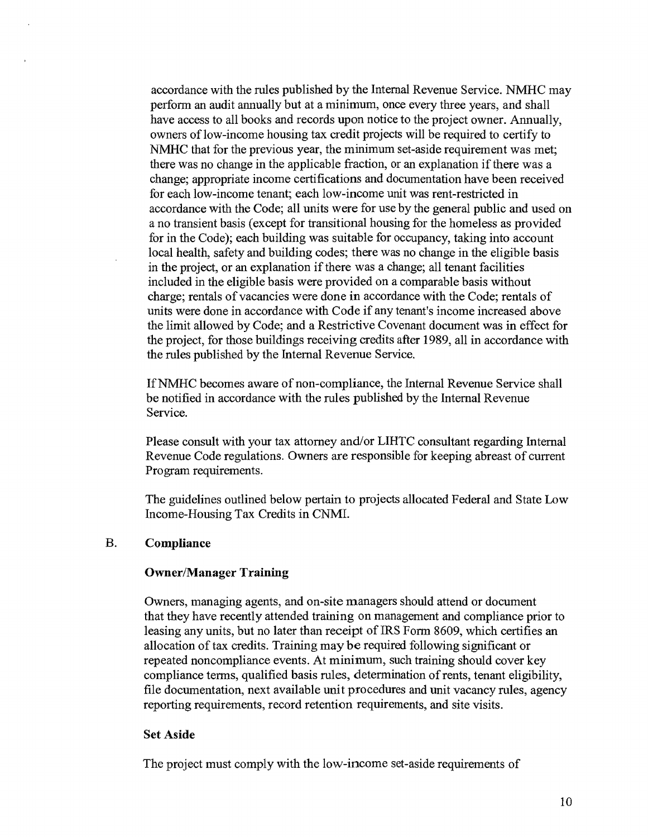accordance with the rules published by the Internal Revenue Service. NMHC may perform an audit annually but at a minimum, once every three years, and shall have access to all books and records upon notice to the project owner. Annually, owners of low-income housing tax credit projects will be required to certify to NMHC that for the previous year, the minimum set-aside requirement was met; there was no change in the applicable fraction, or an explanation if there was a change; appropriate income certifications and documentation have been received for each low-income tenant; each low-income unit was rent-restricted in accordance with the Code; all units were for use by the general public and used on a no transient basis (except for transitional housing for the homeless as provided for in the Code); each building was suitable for occupancy, taking into account local health, safety and building codes; there was no change in the eligible basis in the project, or an explanation if there was a change; all tenant facilities included in the eligible basis were provided on a comparable basis without charge; rentals of vacancies were done in accordance with the Code; rentals of units were done in accordance with Code if any tenant's income increased above the limit allowed by Code; and a Restrictive Covenant document was in effect for the project, for those buildings receiving credits after 1989, all in accordance with the rules published by the Internal Revenue Service.

IfNMHC becomes aware of non-compliance, the Internal Revenue Service shall be notified in accordance with the rules published by the Internal Revenue Service.

Please consult with your tax attorney and/or LIHTC consultant regarding Internal Revenue Code regulations. Owners are responsible for keeping abreast of current Program requirements.

The guidelines outlined below pertain to projects allocated Federal and State Low Income-Housing Tax Credits in CNMI.

#### B. **Compliance**

#### **Owner/Manager Training**

Owners, managing agents, and on-site managers should attend or document that they have recently attended training on management and compliance prior to leasing any units, but no later than receipt of IRS Form 8609, which certifies an allocation of tax credits. Training may be required following significant or repeated noncompliance events. At minimum, such training should cover key compliance terms, qualified basis rules, determination of rents, tenant eligibility, file documentation, next available unit procedures and unit vacancy rules, agency reporting requirements, record retention requirements, and site visits.

#### Set Aside

The project must comply with the low-income set-aside requirements of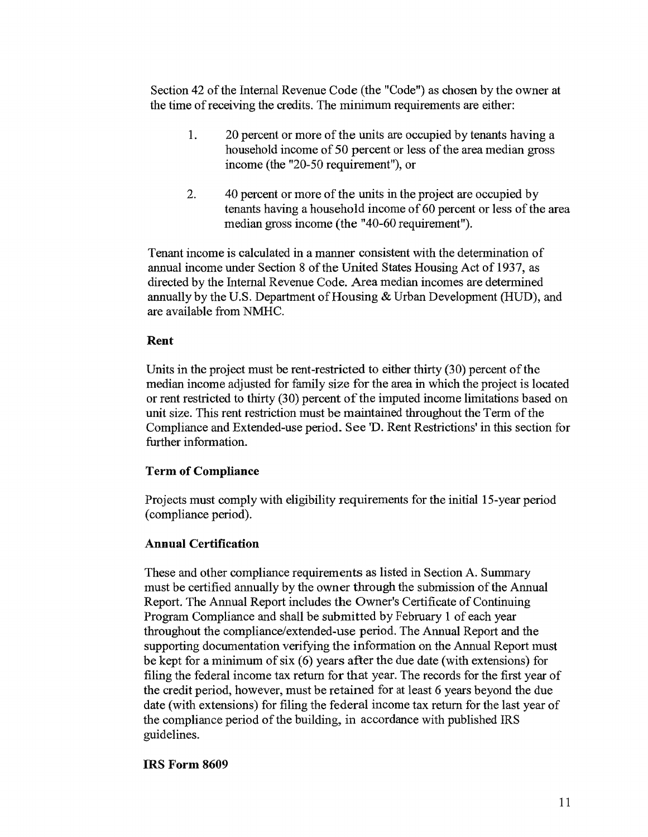Section 42 of the Internal Revenue Code (the "Code") as chosen by the owner at the time of receiving the credits. The minimum requirements are either:

- 1. 20 percent or more of the units are occupied by tenants having a household income of 50 percent or less of the area median gross income (the "20-50 requirement"), or
- 2. 40 percent or more of the units in the project are occupied by tenants having a household income of 60 percent or less of the area median gross income (the "40-60 requirement").

Tenant income is calculated in a manner consistent with the determination of annual income under Section 8 of the United States Housing Act of 1937, as directed by the Internal Revenue Code. Area median incomes are determined annually by the U.S. Department of Housing & Urban Development (HUD), and are available from NMHC.

#### Rent

Units in the project must be rent-restricted to either thirty (30) percent of the median income adjusted for family size for the area in which the project is located or rent restricted to thirty (30) percent of the imputed income limitations based on unit size. This rent restriction must be maintained throughout the Term of the Compliance and Extended-use period. See 'D. Rent Restrictions' in this section for further information.

### Term of Compliance

Projects must comply with eligibility requirements for the initial15-year period (compliance period).

### Annual Certification

These and other compliance requirements as listed in Section A. Summary must be certified annually by the owner through the submission of the Annual Report. The Annual Report includes the Owner's Certificate of Continuing Program Compliance and shall be submitted by February 1 of each year throughout the compliance/extended-use period. The Annual Report and the supporting documentation verifying the information on the Annual Report must be kept for a minimum of six (6) years after the due date (with extensions) for filing the federal income tax return for that year. The records for the first year of the credit period, however, must be retained for at least 6 years beyond the due date (with extensions) for filing the federal income tax return for the last year of the compliance period of the building, in accordance with published IRS guidelines.

### IRS Form 8609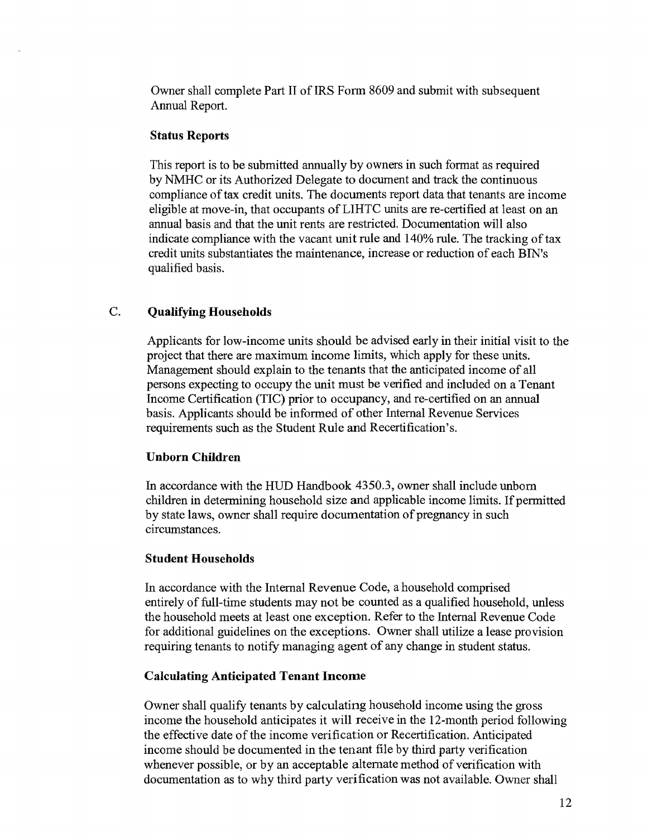Owner shall complete Part II of IRS Form 8609 and submit with subsequent Annual Report.

#### **Status Reports**

This report is to be submitted annually by owners in such format as required by NMHC or its Authorized Delegate to document and track the continuous compliance of tax credit units. The documents report data that tenants are income eligible at move-in, that occupants of LIHTC units are re-certified at least on an annual basis and that the unit rents are restricted. Documentation will also indicate compliance with the vacant unit rule and 140% rule. The tracking of tax credit units substantiates the maintenance, increase or reduction of each BIN's qualified basis.

#### C. **Qualifying Households**

Applicants for low-income units should be advised early in their initial visit to the project that there are maximum income limits, which apply for these units. Management should explain to the tenants that the anticipated income of all persons expecting to occupy the unit must be verified and included on a Tenant Income Certification (TIC) prior to occupancy, and re-certified on an annual basis. Applicants should be informed of other Internal Revenue Services requirements such as the Student Rule and Recertification's.

#### **Unborn Children**

In accordance with the HUD Handbook 4350.3, owner shall include unborn children in determining household size and applicable income limits. If permitted by state laws, owner shall require documentation of pregnancy in such circumstances.

#### **Student Households**

In accordance with the Internal Revenue Code, a household comprised entirely of full-time students may not be counted as a qualified household, unless the household meets at least one exception. Refer to the Internal Revenue Code for additional guidelines on the exceptions. Owner shall utilize a lease provision requiring tenants to notify managing agent of any change in student status.

#### **Calculating Anticipated Tenant Income**

Owner shall qualify tenants by calculating household income using the gross income the household anticipates it will receive in the 12-month period following the effective date of the income verification or Recertification. Anticipated income should be documented in the tenant file by third party verification whenever possible, or by an acceptable alternate method of verification with documentation as to why third party verification was not available. Owner shall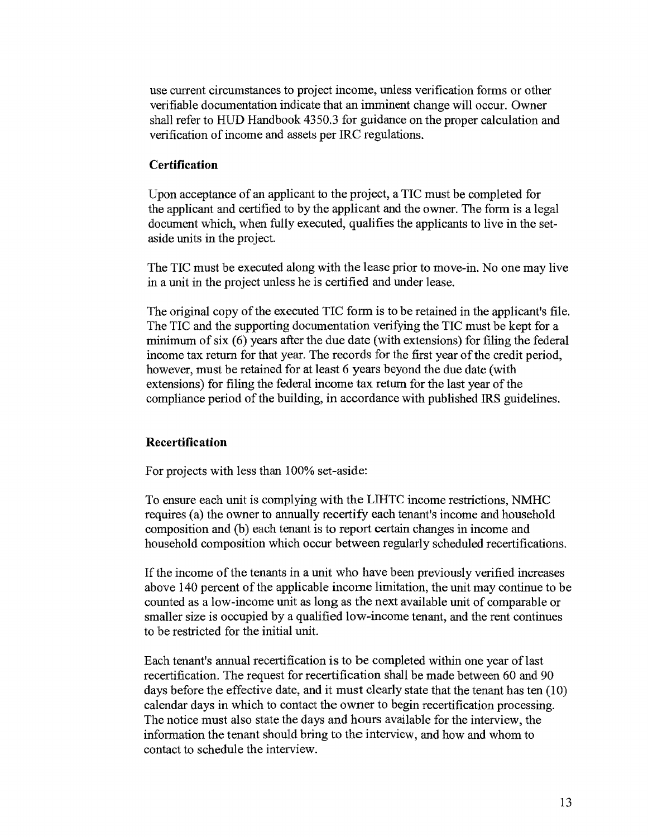use current circumstances to project income, unless verification forms or other verifiable documentation indicate that an imminent change will occur. Owner shall refer to HUD Handbook 4350.3 for guidance on the proper calculation and verification of income and assets per IRC regulations.

### **Certification**

Upon acceptance of an applicant to the project, a TIC must be completed for the applicant and certified to by the applicant and the owner. The form is a legal document which, when fully executed, qualifies the applicants to live in the setaside units in the project.

The TIC must be executed along with the lease prior to move-in. No one may live in a unit in the project unless he is certified and under lease.

The original copy of the executed TIC form is to be retained in the applicant's file. The TIC and the supporting documentation verifying the TIC must be kept for a minimum of six (6) years after the due date (with extensions) for filing the federal income tax return for that year. The records for the first year of the credit period, however, must be retained for at least 6 years beyond the due date (with extensions) for filing the federal income tax return for the last year of the compliance period of the building, in accordance with published IRS guidelines.

#### **Recertification**

For projects with less than 100% set-aside:

To ensure each unit is complying with the LIHTC income restrictions, NMHC requires (a) the owner to annually recertify each tenant's income and household composition and (b) each tenant is to report certain changes in income and household composition which occur between regularly scheduled recertifications.

If the income ofthe tenants in a unit who have been previously verified increases above 140 percent of the applicable income limitation, the unit may continue to be counted as a low-income unit as long as the next available unit of comparable or smaller size is occupied by a qualified low-income tenant, and the rent continues to be restricted for the initial unit.

Each tenant's annual recertification is to be completed within one year of last recertification. The request for recertification shall be made between 60 and 90 days before the effective date, and it must clearly state that the tenant has ten (10) calendar days in which to contact the owner to begin recertification processing. The notice must also state the days and hours available for the interview, the information the tenant should bring to the interview, and how and whom to contact to schedule the interview.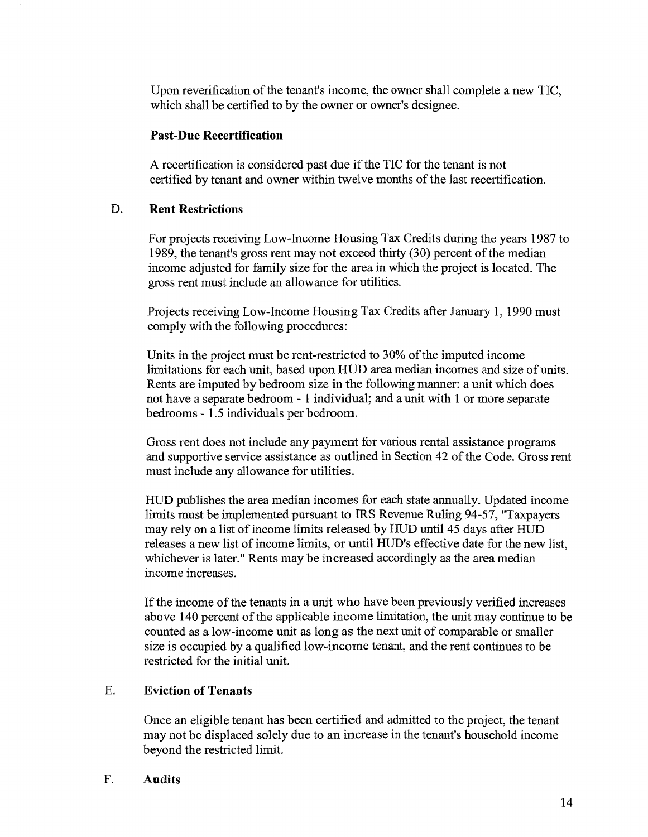Upon reverification of the tenant's income, the owner shall complete a new TIC, which shall be certified to by the owner or owner's designee.

#### Past-Due Recertification

A recertification is considered past due if the TIC for the tenant is not certified by tenant and owner within twelve months of the last recertification.

#### D. Rent Restrictions

For projects receiving Low-Income Housing Tax Credits during the years 1987 to 1989, the tenant's gross rent may not exceed thirty (30) percent of the median income adjusted for family size for the area in which the project is located. The gross rent must include an allowance for utilities.

Projects receiving Low-Income Housing Tax Credits after January 1, 1990 must comply with the following procedures:

Units in the project must be rent-restricted to 30% of the imputed income limitations for each unit, based upon HUD area median incomes and size of units. Rents are imputed by bedroom size in the following manner: a unit which does not have a separate bedroom - 1 individual; and a unit with 1 or more separate bedrooms - 1.5 individuals per bedroom.

Gross rent does not include any payment for various rental assistance programs and supportive service assistance as outlined in Section 42 of the Code. Gross rent must include any allowance for utilities.

HUD publishes the area median incomes for each state annually. Updated income limits must be implemented pursuant to IRS Revenue Ruling 94-57, "Taxpayers may rely on a list of income limits released by HUD until 45 days after HUD releases a new list of income limits, or until HUD's effective date for the new list, whichever is later." Rents may be increased accordingly as the area median income increases.

If the income of the tenants in a unit who have been previously verified increases above 140 percent of the applicable income limitation, the unit may continue to be counted as a low-income unit as long as the next unit of comparable or smaller size is occupied by a qualified low-income tenant, and the rent continues to be restricted for the initial unit.

### E. Eviction of Tenants

Once an eligible tenant has been certified and admitted to the project, the tenant may not be displaced solely due to an increase in the tenant's household income beyond the restricted limit.

#### F. Audits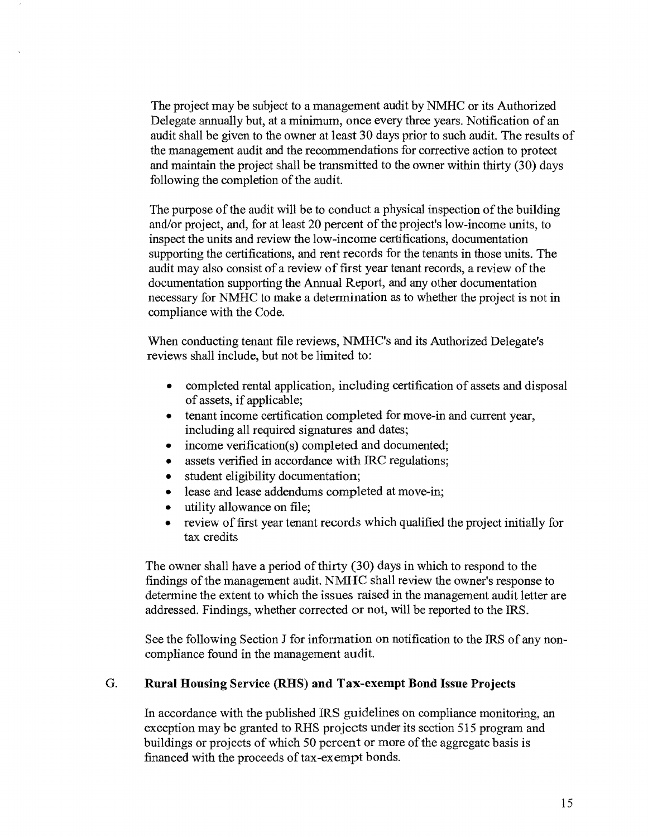The project may be subject to a management audit by NMHC or its Authorized Delegate annually but, at a minimum, once every three years. Notification of an audit shall be given to the owner at least 30 days prior to such audit. The results of the management audit and the recommendations for corrective action to protect and maintain the project shall be transmitted to the owner within thirty  $(30)$  days following the completion of the audit.

The purpose of the audit will be to conduct a physical inspection of the building and/or project, and, for at least 20 percent of the project's low-income units, to inspect the units and review the low-income certifications, documentation supporting the certifications, and rent records for the tenants in those units. The audit may also consist of a review of first year tenant records, a review of the documentation supporting the Annual Report, and any other documentation necessary for NMHC to make a determination as to whether the project is not in compliance with the Code.

When conducting tenant file reviews, NMHC's and its Authorized Delegate's reviews shall include, but not be limited to:

- completed rental application, including certification of assets and disposal of assets, if applicable;
- tenant income certification completed for move-in and current year, including all required signatures and dates;
- income verification(s) completed and documented;
- assets verified in accordance with IRC regulations;
- student eligibility documentation;
- lease and lease addendums completed at move-in;
- utility allowance on file;
- review of first year tenant records which qualified the project initially for tax credits

The owner shall have a period of thirty (30) days in which to respond to the findings of the management audit. NMHC shall review the owner's response to determine the extent to which the issues raised in the management audit letter are addressed. Findings, whether corrected or not, will be reported to the IRS.

See the following Section J for information on notification to the IRS of any noncompliance found in the management audit.

#### G. **Rural** Housing Service (RHS) **and** Tax-exempt **Bond** Issue Projects

In accordance with the published IRS guidelines on compliance monitoring, an exception may be granted to RHS projects under its section 515 program and buildings or projects of which 50 percent or more of the aggregate basis is financed with the proceeds of tax-exempt bonds.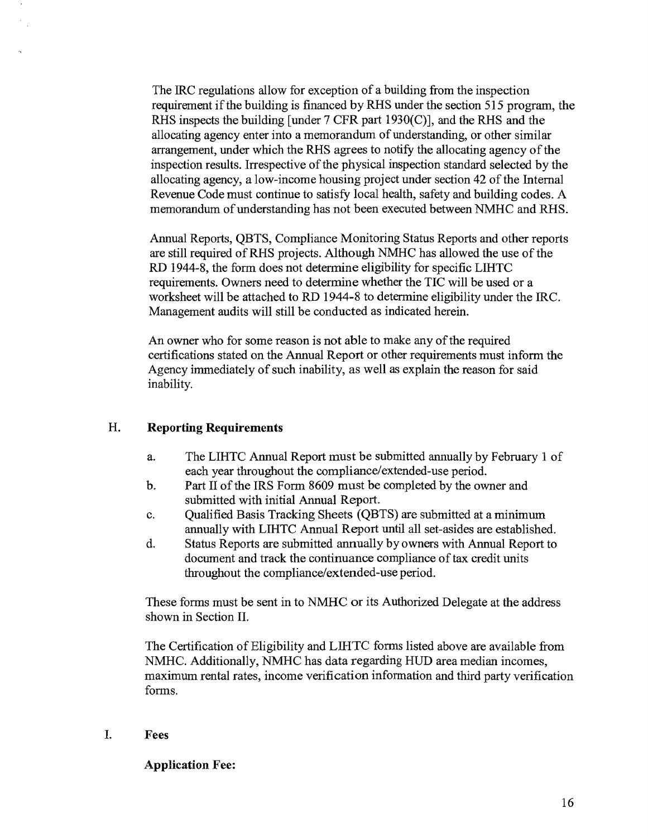The IRC regulations allow for exception of a building from the inspection requirement if the building is financed by RHS under the section 515 program, the RHS inspects the building [under 7 CFR part 1930(C)], and the RHS and the allocating agency enter into a memorandum of understanding, or other similar arrangement, under which the RHS agrees to notify the allocating agency of the inspection results. Irrespective of the physical inspection standard selected by the allocating agency, a low-income housing project under section 42 of the Internal Revenue Code must continue to satisfy local health, safety and building codes. A memorandum of understanding has not been executed between NMHC and RHS.

Annual Reports, QBTS, Compliance Monitoring Status Reports and other reports are still required ofRHS projects. Although NMHC has allowed the use of the RD 1944-8, the form does not determine eligibility for specific LIHTC requirements. Owners need to determine whether the TIC will be used or a worksheet will be attached to RD 1944-8 to determine eligibility under the IRC. Management audits will still be conducted as indicated herein.

An owner who for some reason is not able to make any of the required certifications stated on the Annual Report or other requirements must inform the Agency immediately of such inability, as well as explain the reason for said inability.

#### H. **Reporting Requirements**

- a. The LIHTC Annual Report must be submitted annually by February 1 of each year throughout the compliance/extended-use period.
- b. Part II of the IRS Form 8609 must be completed by the owner and submitted with initial Annual Report.
- c. Qualified Basis Tracking Sheets (QBTS) are submitted at a minimum annually with LIHTC Annual Report until all set-asides are established.
- d. Status Reports are submitted annually by owners with Annual Report to document and track the continuance compliance of tax credit units throughout the compliance/extended-use period.

These forms must be sent in to NMHC or its Authorized Delegate at the address shown in Section II.

The Certification of Eligibility and LIHTC forms listed above are available from NMHC. Additionally, NMHC has data regarding HUD area median incomes, maximum rental rates, income verification information and third party verification forms.

#### I. Fees

Application Fee: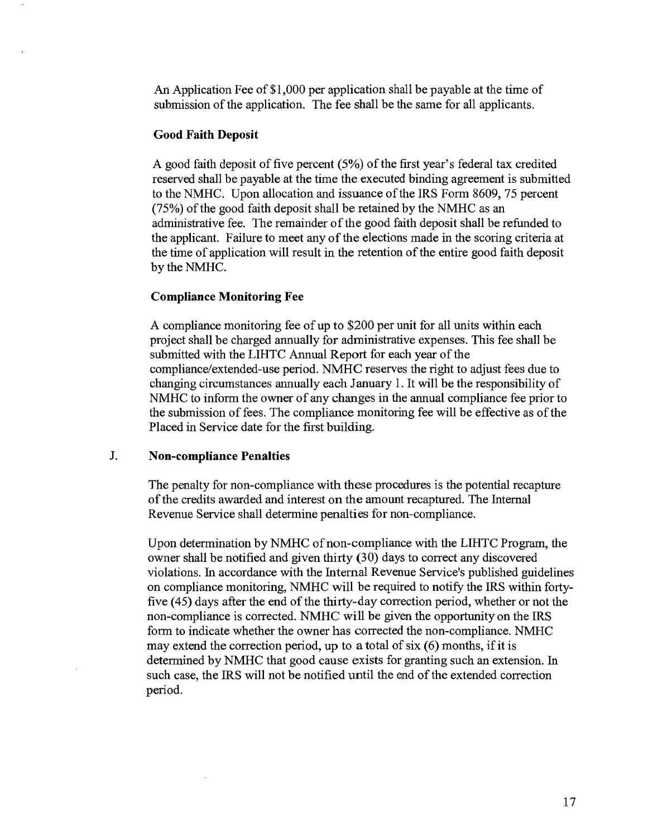An Application Fee of\$1,000 per application shall be payable at the time of submission of the application. The fee shall be the same for all applicants.

#### **Good Faith Deposit**

A good faith deposit of five percent (5%) of the first year's federal tax credited reserved shall be payable at the time the executed binding agreement is submitted to the NMHC. Upon allocation and issuance of the IRS Form 8609,75 percent (75%) of the good faith deposit shall be retained by the NMHC as an administrative fee. The remainder of the good faith deposit shall be refunded to the applicant. Failure to meet any of the elections made in the scoring criteria at the time of application will result in the retention of the entire good faith deposit by the NMHC.

#### **Compliance Monitoring Fee**

A compliance monitoring fee of up to \$200 per unit for all units within each project shall be charged annually for administrative expenses. This fee shall be submitted with the LIHTC Annual Report for each year of the compliance/extended-use period. NMHC reserves the right to adjust fees due to changing circumstances annually each January 1. It will be the responsibility of NMHC to inform the owner of any changes in the annual compliance fee prior to the submission of fees. The compliance monitoring fee will be effective as of the Placed in Service date for the first building.

#### J. **Non-compliance Penalties**

The penalty for non-compliance with these procedures is the potential recapture of the credits awarded and interest on the amount recaptured. The Internal Revenue Service shall determine penalties for non-compliance.

Upon determination by NMHC of non-compliance with the LIHTC Program, the owner shall be notified and given thirty (30) days to correct any discovered violations. In accordance with the Internal Revenue Service's published guidelines on compliance monitoring, NMHC will be required to notify the IRS within fortyfive ( 45) days after the end of the thirty-day correction period, whether or not the non-compliance is corrected. NMHC will be given the opportunity on the IRS form to indicate whether the owner has corrected the non-compliance. NMHC may extend the correction period, up to a total of six  $(6)$  months, if it is determined by NMHC that good cause exists for granting such an extension. In such case, the IRS will not be notified until the end of the extended correction period.